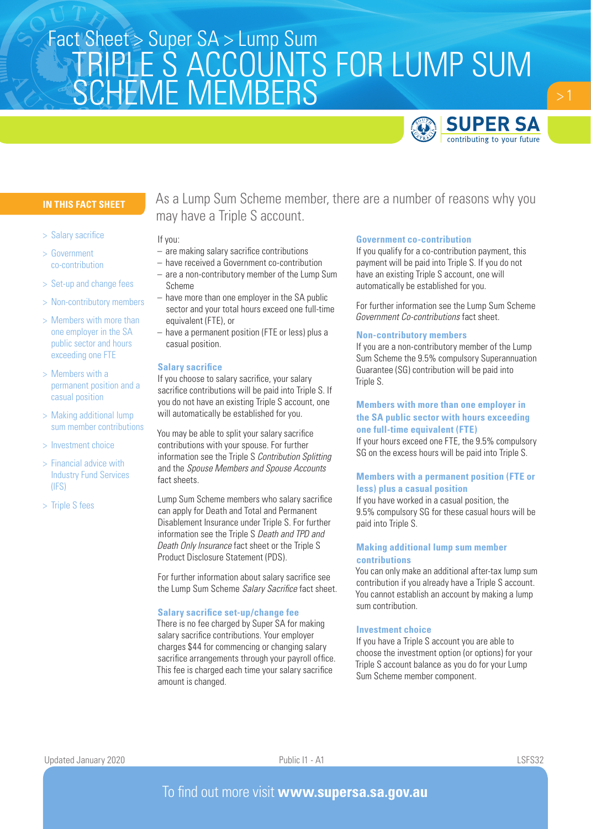# TRIPLE S ACCOUNTS FOR LUMP SUM SCHEME MEMBERS Fact Sheet > Super SA > Lump Sum



# **IN THIS FACT SHEET**

- > Salary sacrifice
- > Government co-contribution
- > Set-up and change fees
- > Non-contributory members
- > Members with more than one employer in the SA public sector and hours exceeding one FTE
- > Members with a permanent position and a casual position
- > Making additional lump sum member contributions
- > Investment choice
- > Financial advice with Industry Fund Services (IFS)
- > Triple S fees

As a Lump Sum Scheme member, there are a number of reasons why you may have a Triple S account.

### If you:

- are making salary sacrifice contributions
- have received a Government co-contribution
- are a non-contributory member of the Lump Sum Scheme
- have more than one employer in the SA public sector and your total hours exceed one full-time equivalent (FTE), or
- have a permanent position (FTE or less) plus a casual position.

### **Salary sacrifice**

If you choose to salary sacrifice, your salary sacrifice contributions will be paid into Triple S. If you do not have an existing Triple S account, one will automatically be established for you.

You may be able to split your salary sacrifice contributions with your spouse. For further information see the Triple S *Contribution Splitting* and the *Spouse Members and Spouse Accounts* fact sheets.

Lump Sum Scheme members who salary sacrifice can apply for Death and Total and Permanent Disablement Insurance under Triple S. For further information see the Triple S *Death and TPD and Death Only Insurance* fact sheet or the Triple S Product Disclosure Statement (PDS).

For further information about salary sacrifice see the Lump Sum Scheme *Salary Sacrifice* fact sheet.

#### **Salary sacrifice set-up/change fee**

There is no fee charged by Super SA for making salary sacrifice contributions. Your employer charges \$44 for commencing or changing salary sacrifice arrangements through your payroll office. This fee is charged each time your salary sacrifice amount is changed.

### **Government co-contribution**

If you qualify for a co-contribution payment, this payment will be paid into Triple S. If you do not have an existing Triple S account, one will automatically be established for you.

For further information see the Lump Sum Scheme *Government Co-contributions* fact sheet.

### **Non-contributory members**

If you are a non-contributory member of the Lump Sum Scheme the 9.5% compulsory Superannuation Guarantee (SG) contribution will be paid into Triple S.

# **Members with more than one employer in the SA public sector with hours exceeding one full-time equivalent (FTE)**

If your hours exceed one FTE, the 9.5% compulsory SG on the excess hours will be paid into Triple S.

### **Members with a permanent position (FTE or less) plus a casual position**

If you have worked in a casual position, the 9.5% compulsory SG for these casual hours will be paid into Triple S.

# **Making additional lump sum member contributions**

You can only make an additional after-tax lump sum contribution if you already have a Triple S account. You cannot establish an account by making a lump sum contribution.

### **Investment choice**

If you have a Triple S account you are able to choose the investment option (or options) for your Triple S account balance as you do for your Lump Sum Scheme member component.